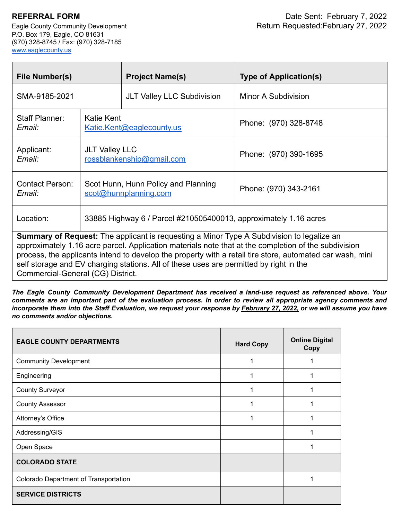P.O. Box 179, Eagle, CO 81631 (970) 328-8745 / Fax: (970) 328-7185 [www.eaglecounty.us](http://www.eaglecounty.us/)

| File Number(s)                                                                                                                                                                                                                                                                                                                                                                                                                                       |                                                              | <b>Project Name(s)</b>                                           | <b>Type of Application(s)</b> |  |  |
|------------------------------------------------------------------------------------------------------------------------------------------------------------------------------------------------------------------------------------------------------------------------------------------------------------------------------------------------------------------------------------------------------------------------------------------------------|--------------------------------------------------------------|------------------------------------------------------------------|-------------------------------|--|--|
| SMA-9185-2021                                                                                                                                                                                                                                                                                                                                                                                                                                        |                                                              | <b>JLT Valley LLC Subdivision</b>                                | Minor A Subdivision           |  |  |
| <b>Staff Planner:</b><br>Email:                                                                                                                                                                                                                                                                                                                                                                                                                      | Katie Kent<br>Katie.Kent@eaglecounty.us                      |                                                                  | Phone: (970) 328-8748         |  |  |
| Applicant:<br>Email:                                                                                                                                                                                                                                                                                                                                                                                                                                 | <b>JLT Valley LLC</b><br>rossblankenship@gmail.com           |                                                                  | Phone: (970) 390-1695         |  |  |
| <b>Contact Person:</b><br>Email:                                                                                                                                                                                                                                                                                                                                                                                                                     | Scot Hunn, Hunn Policy and Planning<br>scot@hunnplanning.com |                                                                  | Phone: (970) 343-2161         |  |  |
| Location:                                                                                                                                                                                                                                                                                                                                                                                                                                            |                                                              | 33885 Highway 6 / Parcel #210505400013, approximately 1.16 acres |                               |  |  |
| <b>Summary of Request:</b> The applicant is requesting a Minor Type A Subdivision to legalize an<br>approximately 1.16 acre parcel. Application materials note that at the completion of the subdivision<br>process, the applicants intend to develop the property with a retail tire store, automated car wash, mini<br>self storage and EV charging stations. All of these uses are permitted by right in the<br>Commercial-General (CG) District. |                                                              |                                                                  |                               |  |  |

*The Eagle County Community Development Department has received a land-use request as referenced above. Your* comments are an important part of the evaluation process. In order to review all appropriate agency comments and incorporate them into the Staff Evaluation, we request your response by February 27, 2022, or we will assume you have *no comments and/or objections.*

| <b>EAGLE COUNTY DEPARTMENTS</b>       | <b>Hard Copy</b> | <b>Online Digital</b><br>Copy |
|---------------------------------------|------------------|-------------------------------|
| <b>Community Development</b>          |                  |                               |
| Engineering                           |                  |                               |
| <b>County Surveyor</b>                |                  |                               |
| <b>County Assessor</b>                |                  |                               |
| Attorney's Office                     |                  |                               |
| Addressing/GIS                        |                  |                               |
| Open Space                            |                  |                               |
| <b>COLORADO STATE</b>                 |                  |                               |
| Colorado Department of Transportation |                  |                               |
| <b>SERVICE DISTRICTS</b>              |                  |                               |